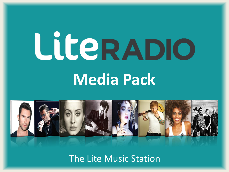### LILERADIO **Media Pack**

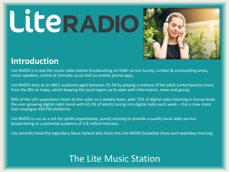

#### **Introduction**

Lite RADIO is a new lite music radio station broadcasting on DAB+ across Surrey, London & surrounding areas, smart speakers, online at literadio.co.uk and via mobile phone apps.

Lite RADIO aims at an ABC1 audience aged between 35-54 by playing a mixture of lite adult contemporary music from the 80s to today, whilst keeping the local region up to date with information, news and gossip.

90% of the UK's population listen to the radio on a weekly basis, with 75% of digital radio listening in Surrey leads the ever-growing digital radio trend with 65.3% of adults tuning into digital radio each week – this is now more than analogue AM/FM platforms

Lite RADIO is run as a not-for-profit organisation, purely existing to provide a quality local radio service broadcasting to a potential audience of 3.8 million listeners.

Lite recently hired the legendary Steve Hyland who hosts the Lite RADIO breakfast show each weekday morning.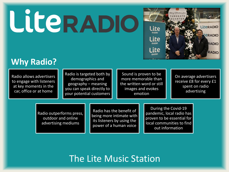

#### **Why Radio?**

Radio allows advertisers to engage with listeners at key moments in the car, office or at home

Radio is targeted both by demographics and geography – meaning you can speak directly to your potential customers

Sound is proven to be more memorable than the written word or still images and evokes emotion

On average advertisers receive £8 for every £1 spent on radio advertising

Radio outperforms press, outdoor and online advertising mediums

Radio has the benefit of being more intimate with its listeners by using the power of a human voice

During the Covid-19 pandemic, local radio has proven to be essential for local communities to find out information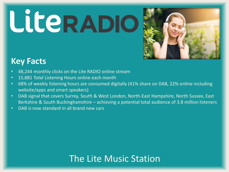## LICERADIO



#### **Key Facts**

- 48,244 monthly clicks on the Lite RADIO online stream
- 15,881 Total Listening Hours online each month
- 68% of weekly listening hours are consumed digitally (41% share on DAB, 22% online including website/apps and smart speakers)
- DAB signal that covers Surrey, South & West London, North-East Hampshire, North Sussex, East Berkshire & South Buckinghamshire – achieving a potential total audience of 3.8 million listeners
- DAB is now standard in all brand new cars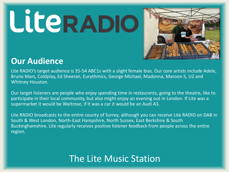## LiterADIO



#### **Our Audience**

Lite RADIO's target audience is 35-54 ABC1s with a slight female bias. Our core artists include Adele, Bruno Mars, Coldplay, Ed Sheeran, Eurythmics, George Michael, Madonna, Maroon 5, U2 and Whitney Houston.

Our target listeners are people who enjoy spending time in restaurants, going to the theatre, like to participate in their local community, but also might enjoy an evening out in London. If Lite was a supermarket it would be Waitrose, if it was a car it would be an Audi A3.

Lite RADIO broadcasts to the entire county of Surrey, although you can receive Lite RADIO on DAB in South & West London, North-East Hampshire, North Sussex, East Berkshire & South Buckinghamshire. Lite regularly receives positive listener feedback from people across the entire region.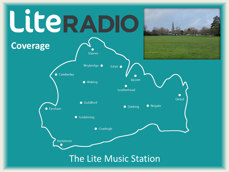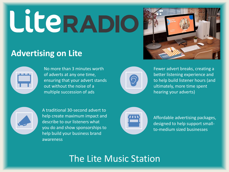# LILERADIO



#### **Advertising on Lite**



No more than 3 minutes worth of adverts at any one time, ensuring that your advert stands out without the noise of a multiple succession of ads



Fewer advert breaks, creating a better listening experience and to help build listener hours (and ultimately, more time spent hearing your adverts)



A traditional 30-second advert to help create maximum impact and describe to our listeners what you do and show sponsorships to help build your business brand awareness



Affordable advertising packages, designed to help support smallto-medium sized businesses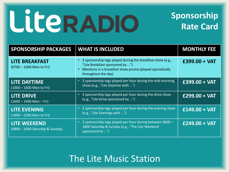#### **Sponsorship Rate Card**

| <b>SPONSORSHIP PACKAGES</b>                            | <b>WHAT IS INCLUDED</b>                                                                                                                                                           | <b>MONTHLY FEE</b> |
|--------------------------------------------------------|-----------------------------------------------------------------------------------------------------------------------------------------------------------------------------------|--------------------|
| <b>LITE BREAKFAST</b><br>(0700 - 1000 Mon to Fri)      | • 3 sponsorship tags played during the breakfast show (e.g.,<br>"Lite Breakfast sponsored by ")<br>Mentions in a breakfast show promo (played sporadically<br>throughout the day) | $£399.00 + VAT$    |
| <b>LITE DAYTIME</b><br>$(1000 - 1600$ Mon to Fri)      | • 3 sponsorship tags played per hour during the mid-morning<br>show (e.g., "Lite Daytime with ")                                                                                  | £399.00 + VAT      |
| <b>LITE DRIVE</b><br>$(1600 - 1900$ Mon - Fri)         | • 3 sponsorship tags played per hour during the drive show<br>(e.g., "Lite Drive sponsored by ")                                                                                  | $£299.00 + VAT$    |
| <b>LITE EVENING</b><br>(1900 - 2200 Mon to Fri)        | • 3 sponsorship tags played per hour during the evening show<br>(e.g., "Lite Evenings with ")                                                                                     | $£149.00 + VAT$    |
| <b>LITE WEEKEND</b><br>(0800 - 1600 Saturday & Sunday) | 3 sponsorship tags played per hour during between 0600 -<br>$\bullet$<br>1800 Saturday & Sunday (e.g., "The Lite Weekend<br>sponsored by ")                                       | $£249.00 + VAT$    |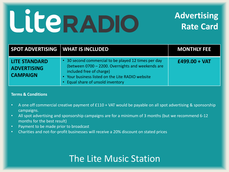### **Advertising Rate Card**

| <b>SPOT ADVERTISING WHAT IS INCLUDED</b>                      |                                                                                                                                                                                                                            | <b>MONTHLY FEE</b> |
|---------------------------------------------------------------|----------------------------------------------------------------------------------------------------------------------------------------------------------------------------------------------------------------------------|--------------------|
| <b>LITE STANDARD</b><br><b>ADVERTISING</b><br><b>CAMPAIGN</b> | 30 second commercial to be played 12 times per day<br>(between 0700 - 2200. Overnights and weekends are<br>included free of charge)<br>• Your business listed on the Lite RADIO website<br>Equal share of unsold inventory | $£499.00 + VAT$    |

#### **Terms & Conditions**

- A one off commercial creative payment of £110 + VAT would be payable on all spot advertising & sponsorship campaigns.
- All spot advertising and sponsorship campaigns are for a minimum of 3 months (but we recommend 6-12 months for the best result)
- Payment to be made prior to broadcast
- Charities and not-for-profit businesses will receive a 20% discount on stated prices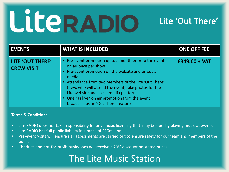### LiterADIO

#### **Lite 'Out There'**

| <b>EVENTS</b>                         | <b>WHAT IS INCLUDED</b>                                                                                                                                                                                                                                                                                                                                                                                          | <b>ONE OFF FEE</b> |
|---------------------------------------|------------------------------------------------------------------------------------------------------------------------------------------------------------------------------------------------------------------------------------------------------------------------------------------------------------------------------------------------------------------------------------------------------------------|--------------------|
| LITE 'OUT THERE'<br><b>CREW VISIT</b> | • Pre-event promotion up to a month prior to the event<br>on air once per show<br>• Pre-event promotion on the website and on social<br>media<br>Attendance from two members of the Lite 'Out There'<br>$\bullet$<br>Crew, who will attend the event, take photos for the<br>Lite website and social media platforms<br>• One "as live" on air promotion from the event -<br>broadcast as an 'Out There' feature | $£349.00 + VAT$    |

#### **Terms & Conditions**

- Lite RADIO does not take responsibility for any music licencing that may be due by playing music at events
- Lite RADIO has full public liability insurance of £10million
- Pre-event visits will ensure risk assessments are carried out to ensure safety for our team and members of the public
- Charities and not-for-profit businesses will receive a 20% discount on stated prices